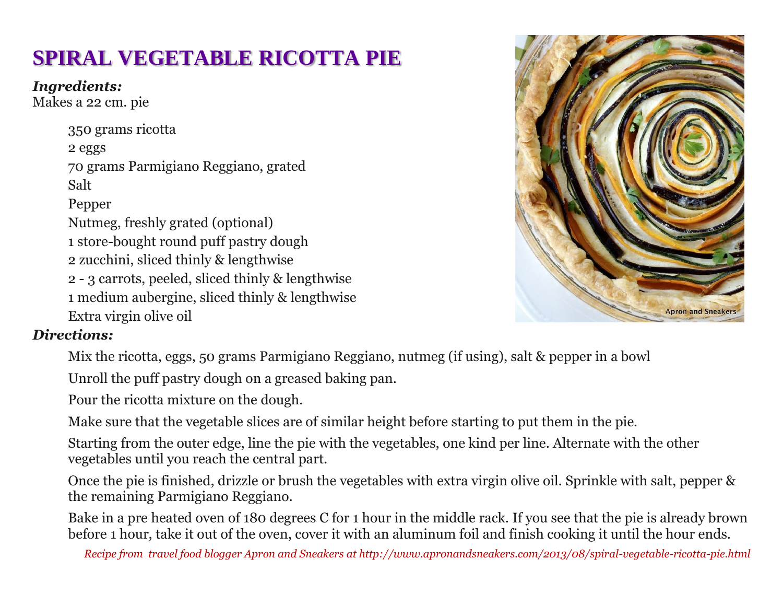# **SPIRAL VEGETABLE RICOTTA PIE**

*Ingredients:*

Makes a 22 cm. pie

350 grams ricotta 2 eggs 70 grams Parmigiano Reggiano, grated Salt Pepper Nutmeg, freshly grated (optional) 1 store-bought round puff pastry dough 2 zucchini, sliced thinly & lengthwise 2 - 3 carrots, peeled, sliced thinly & lengthwise 1 medium aubergine, sliced thinly & lengthwise Extra virgin olive oil



## *Directions:*

Mix the ricotta, eggs, 50 grams Parmigiano Reggiano, nutmeg (if using), salt & pepper in a bowl

Unroll the puff pastry dough on a greased baking pan.

Pour the ricotta mixture on the dough.

Make sure that the vegetable slices are of similar height before starting to put them in the pie.

Starting from the outer edge, line the pie with the vegetables, one kind per line. Alternate with the other vegetables until you reach the central part.

Once the pie is finished, drizzle or brush the vegetables with extra virgin olive oil. Sprinkle with salt, pepper & the remaining Parmigiano Reggiano.

Bake in a pre heated oven of 180 degrees C for 1 hour in the middle rack. If you see that the pie is already brown before 1 hour, take it out of the oven, cover it with an aluminum foil and finish cooking it until the hour ends.

*Recipe from travel food blogger Apron and Sneakers at http://www.apronandsneakers.com/2013/08/spiral-vegetable-ricotta-pie.html*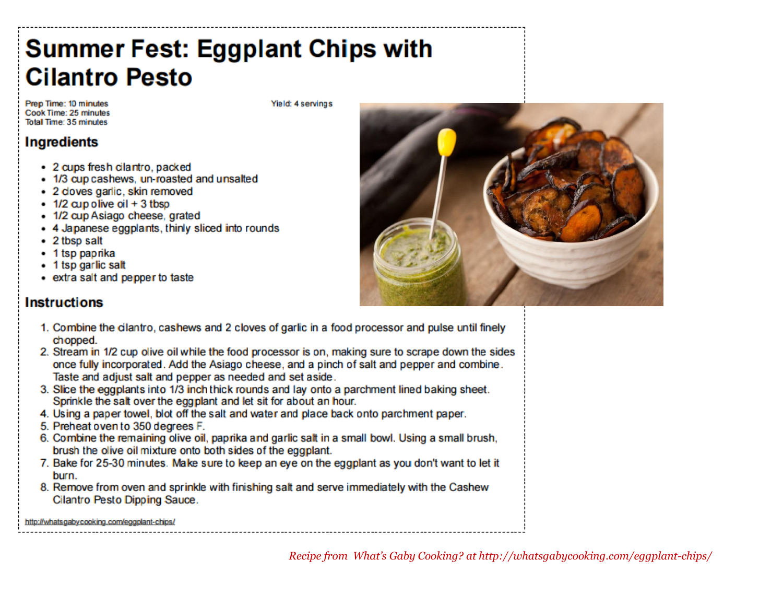# **Summer Fest: Eggplant Chips with Cilantro Pesto**

Prep Time: 10 minutes Cook Time: 25 minutes Total Time: 35 minutes

Yield: 4 servings

### **Ingredients**

- · 2 cups fresh cilantro, packed
- 1/3 cup cashews, un-roasted and unsalted
- · 2 doves garlic, skin removed
- $\cdot$  1/2 cup olive oil + 3 tbsp
- · 1/2 cup Asiago cheese, grated
- 4 Japanese eggplants, thinly sliced into rounds
- 2 tbsp salt
- 1 tsp paprika
- 1 tsp garlic salt
- extra salt and pepper to taste

#### **Instructions**

- 1. Combine the cilantro, cashews and 2 cloves of garlic in a food processor and pulse until finely chopped.
- 2. Stream in 1/2 cup olive oil while the food processor is on, making sure to scrape down the sides once fully incorporated. Add the Asiago cheese, and a pinch of salt and pepper and combine. Taste and adjust salt and pepper as needed and set aside.
- 3. Slice the eggplants into 1/3 inch thick rounds and lay onto a parchment lined baking sheet. Sprinkle the salt over the eggplant and let sit for about an hour.
- 4. Using a paper towel, blot off the salt and water and place back onto parchment paper.
- 5. Preheat oven to 350 degrees F.
- 6. Combine the remaining olive oil, paprika and garlic salt in a small bowl. Using a small brush, brush the olive oil mixture onto both sides of the eggplant.
- 7. Bake for 25-30 minutes. Make sure to keep an eye on the eggplant as you don't want to let it burn.
- 8. Remove from oven and sprinkle with finishing salt and serve immediately with the Cashew Cilantro Pesto Dipping Sauce.

http://whatsgabycooking.com/eggplant-chips/

Recipe from What's Gaby Cooking? at http://whatsgabycooking.com/eggplant-chips/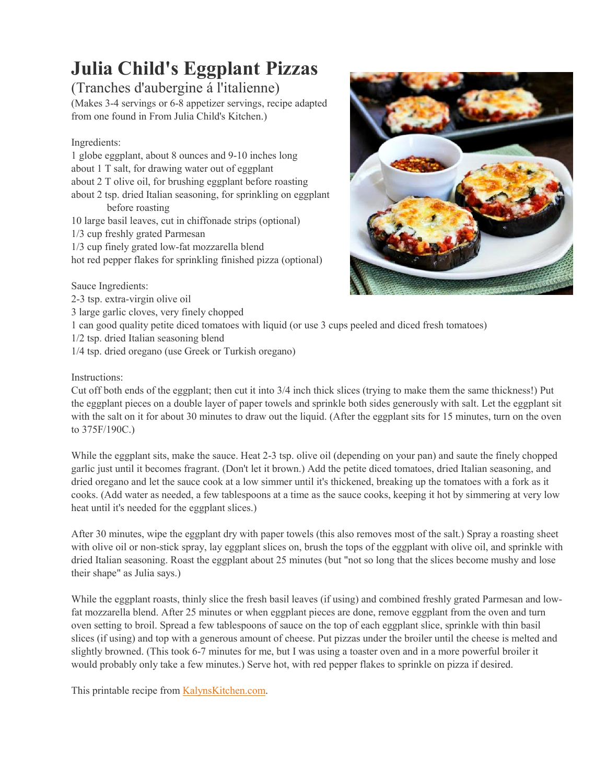# **Julia Child's Eggplant Pizzas**

### (Tranches d'aubergine á l'italienne)

(Makes 3-4 servings or 6-8 appetizer servings, recipe adapted from one found in From Julia Child's Kitchen.)

#### Ingredients:

1 globe eggplant, about 8 ounces and 9-10 inches long about 1 T salt, for drawing water out of eggplant about 2 T olive oil, for brushing eggplant before roasting about 2 tsp. dried Italian seasoning, for sprinkling on eggplant before roasting 10 large basil leaves, cut in chiffonade strips (optional) 1/3 cup freshly grated Parmesan 1/3 cup finely grated low-fat mozzarella blend hot red pepper flakes for sprinkling finished pizza (optional)

Sauce Ingredients:

2-3 tsp. extra-virgin olive oil

3 large garlic cloves, very finely chopped

1 can good quality petite diced tomatoes with liquid (or use 3 cups peeled and diced fresh tomatoes)

1/2 tsp. dried Italian seasoning blend

1/4 tsp. dried oregano (use Greek or Turkish oregano)

#### Instructions:

Cut off both ends of the eggplant; then cut it into 3/4 inch thick slices (trying to make them the same thickness!) Put the eggplant pieces on a double layer of paper towels and sprinkle both sides generously with salt. Let the eggplant sit with the salt on it for about 30 minutes to draw out the liquid. (After the eggplant sits for 15 minutes, turn on the oven to 375F/190C.)

While the eggplant sits, make the sauce. Heat 2-3 tsp. olive oil (depending on your pan) and saute the finely chopped garlic just until it becomes fragrant. (Don't let it brown.) Add the petite diced tomatoes, dried Italian seasoning, and dried oregano and let the sauce cook at a low simmer until it's thickened, breaking up the tomatoes with a fork as it cooks. (Add water as needed, a few tablespoons at a time as the sauce cooks, keeping it hot by simmering at very low heat until it's needed for the eggplant slices.)

After 30 minutes, wipe the eggplant dry with paper towels (this also removes most of the salt.) Spray a roasting sheet with olive oil or non-stick spray, lay eggplant slices on, brush the tops of the eggplant with olive oil, and sprinkle with dried Italian seasoning. Roast the eggplant about 25 minutes (but "not so long that the slices become mushy and lose their shape" as Julia says.)

While the eggplant roasts, thinly slice the fresh basil leaves (if using) and combined freshly grated Parmesan and lowfat mozzarella blend. After 25 minutes or when eggplant pieces are done, remove eggplant from the oven and turn oven setting to broil. Spread a few tablespoons of sauce on the top of each eggplant slice, sprinkle with thin basil slices (if using) and top with a generous amount of cheese. Put pizzas under the broiler until the cheese is melted and slightly browned. (This took 6-7 minutes for me, but I was using a toaster oven and in a more powerful broiler it would probably only take a few minutes.) Serve hot, with red pepper flakes to sprinkle on pizza if desired.

This printable recipe from [KalynsKitchen.com.](http://kalynskitchen.com/)